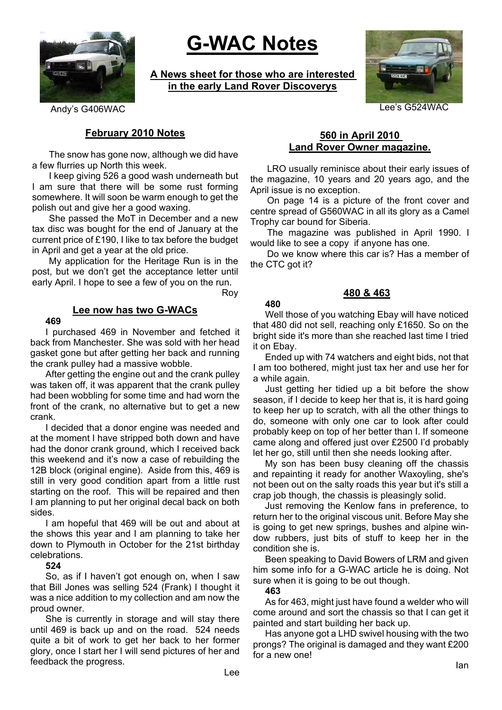

# **G-WAC Notes**

**A News sheet for those who are interested in the early Land Rover Discoverys**



Andy's G406WAC Department of the Case of the Case of the Case of the Case of the Case of the Case of the Case of the Case of the Case of the Case of the Case of the Case of the Case of the Case of the Case of the Case of t

# **February 2010 Notes**

The snow has gone now, although we did have a few flurries up North this week.

I keep giving 526 a good wash underneath but I am sure that there will be some rust forming somewhere. It will soon be warm enough to get the polish out and give her a good waxing.

She passed the MoT in December and a new tax disc was bought for the end of January at the current price of £190, I like to tax before the budget in April and get a year at the old price.

My application for the Heritage Run is in the post, but we don't get the acceptance letter until early April. I hope to see a few of you on the run.

Roy

#### **Lee now has two G-WACs 469**

I purchased 469 in November and fetched it back from Manchester. She was sold with her head gasket gone but after getting her back and running the crank pulley had a massive wobble.

After getting the engine out and the crank pulley was taken off, it was apparent that the crank pulley had been wobbling for some time and had worn the front of the crank, no alternative but to get a new crank.

I decided that a donor engine was needed and at the moment I have stripped both down and have had the donor crank ground, which I received back this weekend and it's now a case of rebuilding the 12B block (original engine). Aside from this, 469 is still in very good condition apart from a little rust starting on the roof. This will be repaired and then I am planning to put her original decal back on both sides.

I am hopeful that 469 will be out and about at the shows this year and I am planning to take her down to Plymouth in October for the 21st birthday celebrations.

#### **524**

So, as if I haven't got enough on, when I saw that Bill Jones was selling 524 (Frank) I thought it was a nice addition to my collection and am now the proud owner.

She is currently in storage and will stay there until 469 is back up and on the road. 524 needs quite a bit of work to get her back to her former glory, once I start her I will send pictures of her and feedback the progress.

#### **560 in April 2010 Land Rover Owner magazine.**

LRO usually reminisce about their early issues of the magazine, 10 years and 20 years ago, and the April issue is no exception.

On page 14 is a picture of the front cover and centre spread of G560WAC in all its glory as a Camel Trophy car bound for Siberia.

The magazine was published in April 1990. I would like to see a copy if anyone has one.

Do we know where this car is? Has a member of the CTC got it?

## **480 & 463**

# **480**

Well those of you watching Ebay will have noticed that 480 did not sell, reaching only £1650. So on the bright side it's more than she reached last time I tried it on Ebay.

Ended up with 74 watchers and eight bids, not that I am too bothered, might just tax her and use her for a while again.

Just getting her tidied up a bit before the show season, if I decide to keep her that is, it is hard going to keep her up to scratch, with all the other things to do, someone with only one car to look after could probably keep on top of her better than I. If someone came along and offered just over £2500 I'd probably let her go, still until then she needs looking after.

My son has been busy cleaning off the chassis and repainting it ready for another Waxoyling, she's not been out on the salty roads this year but it's still a crap job though, the chassis is pleasingly solid.

Just removing the Kenlow fans in preference, to return her to the original viscous unit. Before May she is going to get new springs, bushes and alpine window rubbers, just bits of stuff to keep her in the condition she is.

Been speaking to David Bowers of LRM and given him some info for a G-WAC article he is doing. Not sure when it is going to be out though.

#### **463**

As for 463, might just have found a welder who will come around and sort the chassis so that I can get it painted and start building her back up.

Has anyone got a LHD swivel housing with the two prongs? The original is damaged and they want £200 for a new one!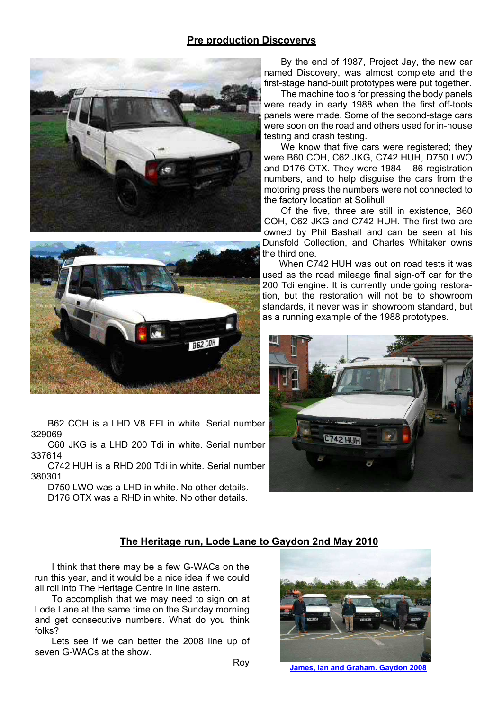## **Pre production Discoverys**





B62 COH is a LHD V8 EFI in white. Serial number 329069

C60 JKG is a LHD 200 Tdi in white. Serial number 337614

C742 HUH is a RHD 200 Tdi in white. Serial number 380301

D750 LWO was a LHD in white. No other details. D176 OTX was a RHD in white. No other details

By the end of 1987, Project Jay, the new car named Discovery, was almost complete and the first-stage hand-built prototypes were put together.

The machine tools for pressing the body panels were ready in early 1988 when the first off-tools panels were made. Some of the second-stage cars were soon on the road and others used for in-house testing and crash testing.

We know that five cars were registered; they were B60 COH, C62 JKG, C742 HUH, D750 LWO and D176 OTX. They were 1984 – 86 registration numbers, and to help disguise the cars from the motoring press the numbers were not connected to the factory location at Solihull

Of the five, three are still in existence, B60 COH, C62 JKG and C742 HUH. The first two are owned by Phil Bashall and can be seen at his Dunsfold Collection, and Charles Whitaker owns the third one.

When C742 HUH was out on road tests it was used as the road mileage final sign-off car for the 200 Tdi engine. It is currently undergoing restoration, but the restoration will not be to showroom standards, it never was in showroom standard, but as a running example of the 1988 prototypes.



## **The Heritage run, Lode Lane to Gaydon 2nd May 2010**

I think that there may be a few G-WACs on the run this year, and it would be a nice idea if we could all roll into The Heritage Centre in line astern.

To accomplish that we may need to sign on at Lode Lane at the same time on the Sunday morning and get consecutive numbers. What do you think folks?

Lets see if we can better the 2008 line up of seven G-WACs at the show.



**James, Ian and Graham. Gaydon 2008**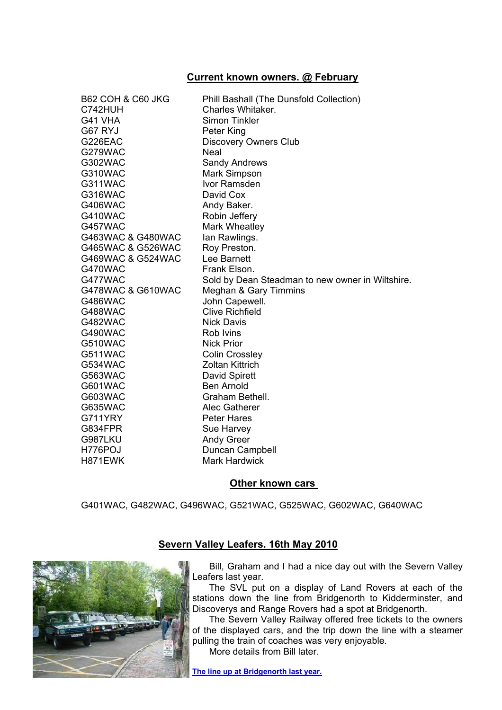## **Current known owners. @ February**

| <b>B62 COH &amp; C60 JKG</b> | Phill Bashall (The Dunsfold Collection)          |
|------------------------------|--------------------------------------------------|
| C742HUH                      | Charles Whitaker.                                |
| G41 VHA                      | <b>Simon Tinkler</b>                             |
| G67 RYJ                      | Peter King                                       |
| G226EAC                      | <b>Discovery Owners Club</b>                     |
| G279WAC                      | <b>Neal</b>                                      |
| G302WAC                      | <b>Sandy Andrews</b>                             |
| G310WAC                      | Mark Simpson                                     |
| G311WAC                      | Ivor Ramsden                                     |
| G316WAC                      | David Cox                                        |
| G406WAC                      | Andy Baker.                                      |
| G410WAC                      | Robin Jeffery                                    |
| G457WAC                      | Mark Wheatley                                    |
| G463WAC & G480WAC            | lan Rawlings.                                    |
| G465WAC & G526WAC            | Roy Preston.                                     |
| G469WAC & G524WAC            | Lee Barnett                                      |
| G470WAC                      | Frank Elson.                                     |
| G477WAC                      | Sold by Dean Steadman to new owner in Wiltshire. |
| G478WAC & G610WAC            | Meghan & Gary Timmins                            |
| G486WAC                      | John Capewell.                                   |
| <b>G488WAC</b>               | <b>Clive Richfield</b>                           |
| G482WAC                      | <b>Nick Davis</b>                                |
| G490WAC                      | Rob Ivins                                        |
| G510WAC                      | <b>Nick Prior</b>                                |
| G511WAC                      | <b>Colin Crossley</b>                            |
| G534WAC                      | <b>Zoltan Kittrich</b>                           |
| G563WAC                      | David Spirett                                    |
| G601WAC                      | <b>Ben Arnold</b>                                |
| G603WAC                      | Graham Bethell.                                  |
| G635WAC                      | Alec Gatherer                                    |
| G711YRY                      | <b>Peter Hares</b>                               |
| G834FPR                      | Sue Harvey                                       |
| G987LKU                      | <b>Andy Greer</b>                                |
| H776POJ                      | Duncan Campbell                                  |
| H871EWK                      | <b>Mark Hardwick</b>                             |

## **Other known cars**

G401WAC, G482WAC, G496WAC, G521WAC, G525WAC, G602WAC, G640WAC



# **Severn Valley Leafers. 16th May 2010**

Bill, Graham and I had a nice day out with the Severn Valley Leafers last year.

The SVL put on a display of Land Rovers at each of the stations down the line from Bridgenorth to Kidderminster, and Discoverys and Range Rovers had a spot at Bridgenorth.

The Severn Valley Railway offered free tickets to the owners of the displayed cars, and the trip down the line with a steamer pulling the train of coaches was very enjoyable. More details from Bill later.

**The line up at Bridgenorth last year.**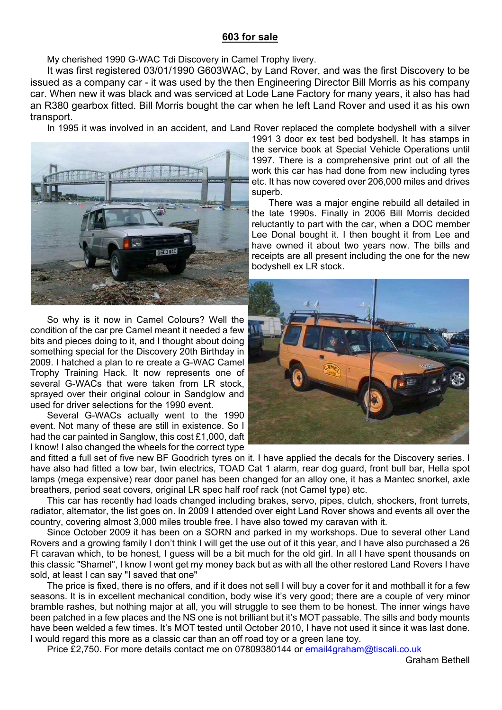# **603 for sale**

My cherished 1990 G-WAC Tdi Discovery in Camel Trophy livery.

It was first registered 03/01/1990 G603WAC, by Land Rover, and was the first Discovery to be issued as a company car - it was used by the then Engineering Director Bill Morris as his company car. When new it was black and was serviced at Lode Lane Factory for many years, it also has had an R380 gearbox fitted. Bill Morris bought the car when he left Land Rover and used it as his own transport.

In 1995 it was involved in an accident, and Land Rover replaced the complete bodyshell with a silver



So why is it now in Camel Colours? Well the condition of the car pre Camel meant it needed a few bits and pieces doing to it, and I thought about doing something special for the Discovery 20th Birthday in 2009. I hatched a plan to re create a G-WAC Camel Trophy Training Hack. It now represents one of several G-WACs that were taken from LR stock, sprayed over their original colour in Sandglow and used for driver selections for the 1990 event.

Several G-WACs actually went to the 1990 event. Not many of these are still in existence. So I had the car painted in Sanglow, this cost £1,000, daft I know! I also changed the wheels for the correct type

1991 3 door ex test bed bodyshell. It has stamps in the service book at Special Vehicle Operations until 1997. There is a comprehensive print out of all the work this car has had done from new including tyres etc. It has now covered over 206,000 miles and drives superb.

There was a major engine rebuild all detailed in the late 1990s. Finally in 2006 Bill Morris decided reluctantly to part with the car, when a DOC member Lee Donal bought it. I then bought it from Lee and have owned it about two years now. The bills and receipts are all present including the one for the new bodyshell ex LR stock.



and fitted a full set of five new BF Goodrich tyres on it. I have applied the decals for the Discovery series. I have also had fitted a tow bar, twin electrics, TOAD Cat 1 alarm, rear dog guard, front bull bar, Hella spot lamps (mega expensive) rear door panel has been changed for an alloy one, it has a Mantec snorkel, axle breathers, period seat covers, original LR spec half roof rack (not Camel type) etc.

This car has recently had loads changed including brakes, servo, pipes, clutch, shockers, front turrets, radiator, alternator, the list goes on. In 2009 I attended over eight Land Rover shows and events all over the country, covering almost 3,000 miles trouble free. I have also towed my caravan with it.

Since October 2009 it has been on a SORN and parked in my workshops. Due to several other Land Rovers and a growing family I don't think I will get the use out of it this year, and I have also purchased a 26 Ft caravan which, to be honest, I guess will be a bit much for the old girl. In all I have spent thousands on this classic "Shamel", I know I wont get my money back but as with all the other restored Land Rovers I have sold, at least I can say "I saved that one"

The price is fixed, there is no offers, and if it does not sell I will buy a cover for it and mothball it for a few seasons. It is in excellent mechanical condition, body wise it's very good; there are a couple of very minor bramble rashes, but nothing major at all, you will struggle to see them to be honest. The inner wings have been patched in a few places and the NS one is not brilliant but it's MOT passable. The sills and body mounts have been welded a few times. It's MOT tested until October 2010, I have not used it since it was last done. I would regard this more as a classic car than an off road toy or a green lane toy.

Price £2,750. For more details contact me on 07809380144 or email4graham@tiscali.co.uk